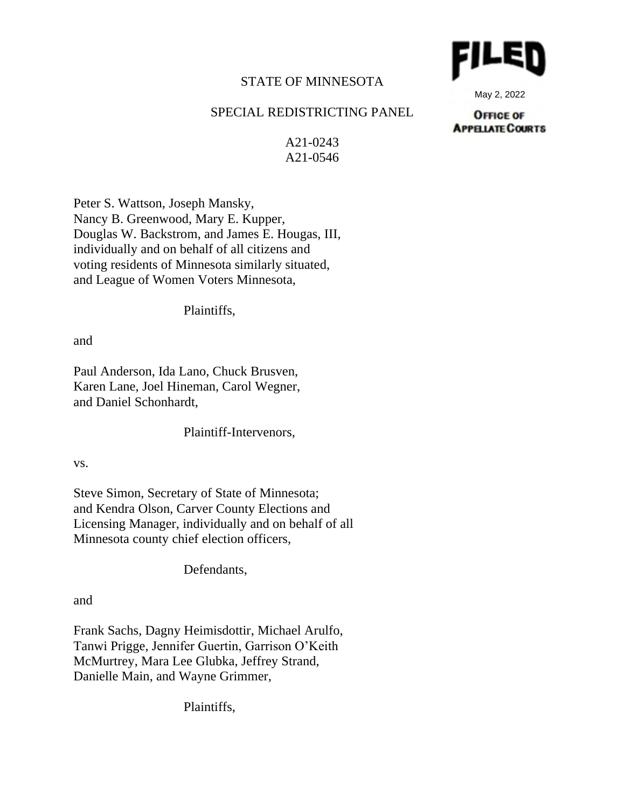## STATE OF MINNESOTA

## SPECIAL REDISTRICTING PANEL

A21-0243 A21-0546

Peter S. Wattson, Joseph Mansky, Nancy B. Greenwood, Mary E. Kupper, Douglas W. Backstrom, and James E. Hougas, III, individually and on behalf of all citizens and voting residents of Minnesota similarly situated, and League of Women Voters Minnesota,

Plaintiffs,

and

Paul Anderson, Ida Lano, Chuck Brusven, Karen Lane, Joel Hineman, Carol Wegner, and Daniel Schonhardt,

Plaintiff-Intervenors,

vs.

Steve Simon, Secretary of State of Minnesota; and Kendra Olson, Carver County Elections and Licensing Manager, individually and on behalf of all Minnesota county chief election officers,

Defendants,

and

Frank Sachs, Dagny Heimisdottir, Michael Arulfo, Tanwi Prigge, Jennifer Guertin, Garrison O'Keith McMurtrey, Mara Lee Glubka, Jeffrey Strand, Danielle Main, and Wayne Grimmer,

Plaintiffs,



May 2, 2022

**OFFICE OF APPELATE COURTS**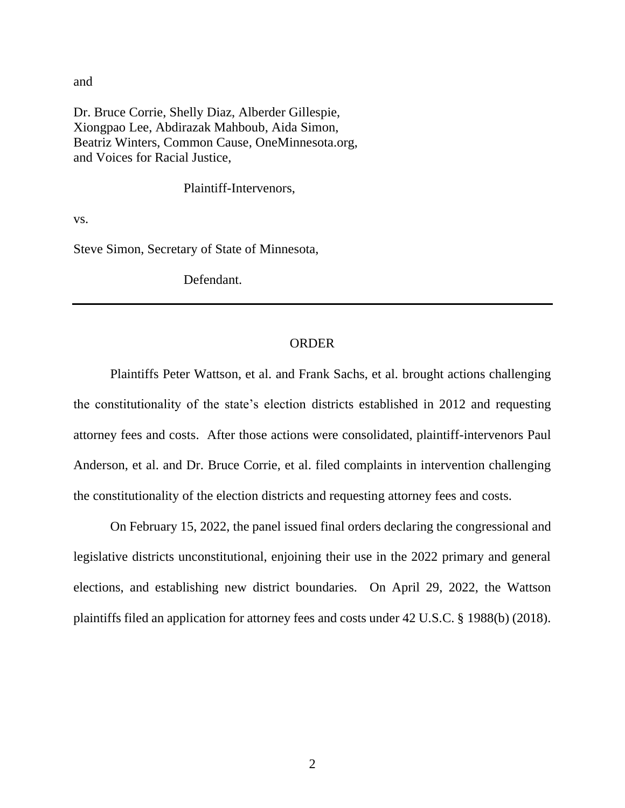and

Dr. Bruce Corrie, Shelly Diaz, Alberder Gillespie, Xiongpao Lee, Abdirazak Mahboub, Aida Simon, Beatriz Winters, Common Cause, OneMinnesota.org, and Voices for Racial Justice,

Plaintiff-Intervenors,

vs.

Steve Simon, Secretary of State of Minnesota,

Defendant.

## ORDER

Plaintiffs Peter Wattson, et al. and Frank Sachs, et al. brought actions challenging the constitutionality of the state's election districts established in 2012 and requesting attorney fees and costs. After those actions were consolidated, plaintiff-intervenors Paul Anderson, et al. and Dr. Bruce Corrie, et al. filed complaints in intervention challenging the constitutionality of the election districts and requesting attorney fees and costs.

On February 15, 2022, the panel issued final orders declaring the congressional and legislative districts unconstitutional, enjoining their use in the 2022 primary and general elections, and establishing new district boundaries. On April 29, 2022, the Wattson plaintiffs filed an application for attorney fees and costs under 42 U.S.C. § 1988(b) (2018).